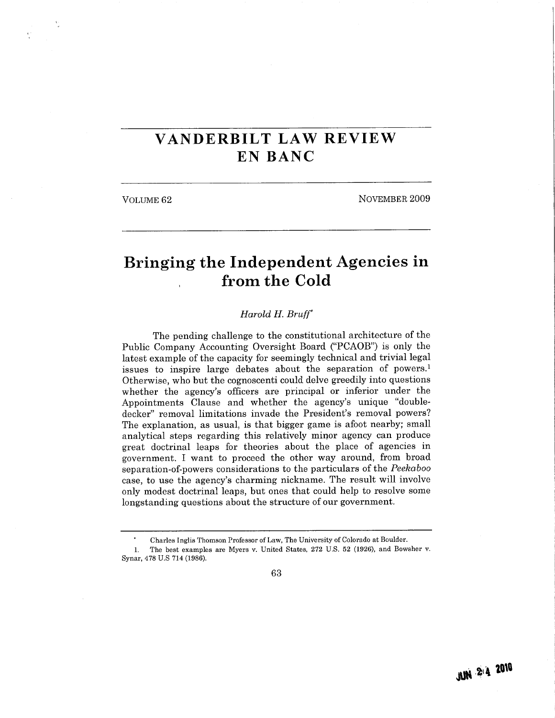## VANDERBILT LAW REVIEW EN BANC

VOLUME 62 NOVEMBER 2009

## Bringing the Independent Agencies in from the Cold

## Harold H. Bruff

The pending challenge to the constitutional architecture of the Public Company Accounting Oversight Board ("PCAOB") is only the latest example of the capacity for seemingly technical and trivial legal issues to inspire large debates about the separation of powers.<sup>1</sup> Otherwise, who but the cognoscenti could delve greedily into questions whether the agency's officers are principal or inferior under the Appointments Clause and whether the agency's unique "doubledecker" removal limitations invade the President's removal powers? The explanation, as usual, is that bigger game is afoot nearby; small analytical steps regarding this relatively minor agency can produce great doctrinal leaps for theories about the place of agencies in government. I want to proceed the other way around, from broad separation-of-powers considerations to the particulars of the Peekaboo case, to use the agency's charming nickname. The result will involve only modest doctrinal leaps, but ones that could help to resolve some longstanding questions about the structure of our government.

63

Charles Inglis Thomson Professor of Law, The University of Colorado at Boulder.

<sup>1.</sup> The best examples are Myers v. United States, 272 U.S. 52 (1926), and Bowsher v. Synar, 478 U.S 714 (1986).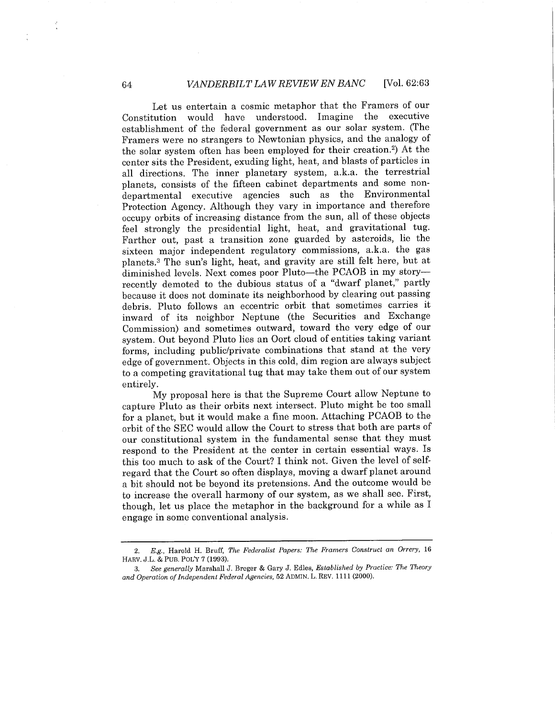Let us entertain a cosmic metaphor that the Framers of our Constitution would have understood. Imagine the executive establishment of the federal government as our solar system. (The Framers were no strangers to Newtonian physics, and the analogy of the solar system often has been employed for their creation.2) At the center sits the President, exuding light, heat, and blasts of particles in all directions. The inner planetary system, a.k.a. the terrestrial planets, consists of the fifteen cabinet departments and some nondepartmental executive agencies such as the Environmental Protection Agency. Although they vary in importance and therefore occupy orbits of increasing distance from the sun, all of these objects feel strongly the presidential light, heat, and gravitational tug. Farther out, past a transition zone guarded by asteroids, lie the sixteen major independent regulatory commissions, a.k.a. the gas planets.3 The sun's light, heat, and gravity are stil felt here, but at diminished levels. Next comes poor Pluto—the PCAOB in my story recently demoted to the dubious status of a "dwarf planet," partly because it does not dominate its neighborhood by clearing out passing debris. Pluto follows an eccentric orbit that sometimes carries it inward of its neighbor Neptune (the Securities and Exchange Commission) and sometimes outward, toward the very edge of our system. Out beyond Pluto lies an Oort cloud of entities taking variant forms, including public/private combinations that stand at the very edge of government. Objects in this cold, dim region are always subject to a competing gravitational tug that may take them out of our system entirely.

My proposal here is that the Supreme Court allow Neptune to capture Pluto as their orbits next intersect. Pluto might be too small for a planet, but it would make a fine moon. Attaching PCAOB to the orbit of the SEC would allow the Court to stress that both are parts of our constitutional system in the fundamental sense that they must respond to the President at the center in certain essential ways. Is this too much to ask of the Court? I think not. Given the level of selfregard that the Court so often displays, moving a dwarf planet around a bit should not be beyond its pretensions. And the outcome would be to increase the overall harmony of our system, as we shall see. First, though, let us place the metaphor in the background for a while as I engage in some conventional analysis.

<sup>2.</sup> E.g., Harold H. Bruff, The Federalist Papers: The Framers Construct an Orrery, 16 HARV. J.L. & PUB. POLY 7 (1993).

See generally Marshall J. Breger & Gary J. Edles, Established by Practice: The Theory and Operation of Independent Federal Agencies, 52 ADMIN. L. REV. 1111 (2000).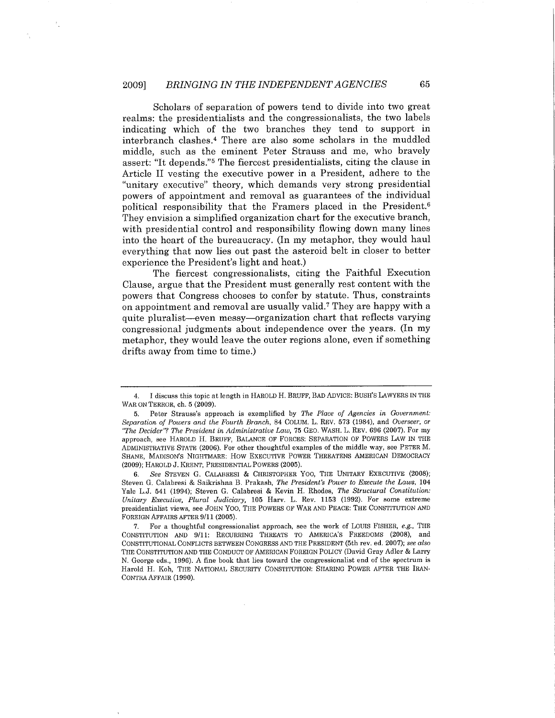Scholars of separation of powers tend to divide into two great realms: the presidentialists and the congressionalists, the two labels indicating which of the two branches they tend to support in interbranch clashes.4 There are also some scholars in the muddled middle, such as the eminent Peter Strauss and me, who bravely assert: "It depends."5 The fiercest presidentialists, citing the clause in Article II vesting the executive power in a President, adhere to the "unitary executive" theory, which demands very strong presidential powers of appointment and removal as guarantees of the individual political responsibility that the Framers placed in the President.6 They envision a simplified organization chart for the executive branch, with presidential control and responsibility flowing down many lines into the heart of the bureaucracy. (In my metaphor, they would haul everything that now lies out past the asteroid belt in closer to better experience the President's light and heat.)

The fiercest congressionalists, citing the Faithful Execution Clause, argue that the President must generally rest content with the powers that Congress chooses to confer by statute. Thus, constraints on appointment and removal are usually valid.7 They are happy with a quite pluralist-even messy-organization chart that reflects varying congressional judgments about independence over the years. (In my metaphor, they would leave the outer regions alone, even if something drifts away from time to time.)

<sup>4.</sup> I discuss this topic at length in HAROLD H. BRUFF, BAD ADVICE: BUSH'S LAWYERS IN THE WAR ON TERROR, ch. 5 (2009).

<sup>5.</sup> Peter Strauss's approach is exemplified by The Place of Agencies in Government: Separation of Powers and the Fourth Branch, 84 COLUM. L. REV. 573 (1984), and Overseer, or "The Decider"? The President in Administrative Law, 75 GEO. WASH. L. REV. 696 (2007). For my approach, see HAROLD H. BRUFF, BALANCE OF FORCES: SEPARATION OF POWERS LAW IN THE ADMINISTRATIVE STATE (2006). For other thoughtful examples of the middle way, see PETER M. SHANE, MADISON'S NIGHTMAE: How EXECUTIVE POWER THREATENS AMERICAN DEMOCRACY (2009); HAROLD J. KRENT, PRESIDENTIAL POWERS (2005).

<sup>6.</sup> See STEVEN G. CALARESI & CHRISTOPHER Yoo, THE UNITARY EXECUTIVE (2008); Steven G. Calabresi & Saikrishna B. Prakash, The President's Power to Execute the Laws, 104 Yale L.J. 541 (1994); Steven G. Calabresi & Kevin H. Rhodes, The Structural Constitution: Unitary Executive, Plural Judiciary, 105 Harv. L. Rev. 1153 (1992). For some extreme presidentialist views, see JOHN Yoo, THE POWERS OF WAR AND PEACE: THE CONSTITUTION AND FOREIGN AFFAIRS AFTER 9/11 (2005).

<sup>7.</sup> For a thoughtful congressionalist approach, see the work of Louis FISHER, e.g., THE CONSTITUTION AND 9/11: RECURRING THREATS TO AMERICA'S FREEDOMS (2008), and CONSTITUTIONAL CONFLICTS BETWEEN CONGRESS AND THE PRESIDENT (5th rev. ed. 2007); see also THE CONSTITUTION AND THE CONDUCT OF AMERICAN FOREIGN POLICY (David Gray Adler & Larry N. George eds., 1996). A fine book that lies toward the congressionalist end of the spectrum is Harold H. Koh, THE NATIONAL SECURITY CONSTITUTION: SHARING POWER AFTER THE IRAN-CONTRA AFFAIR (1990).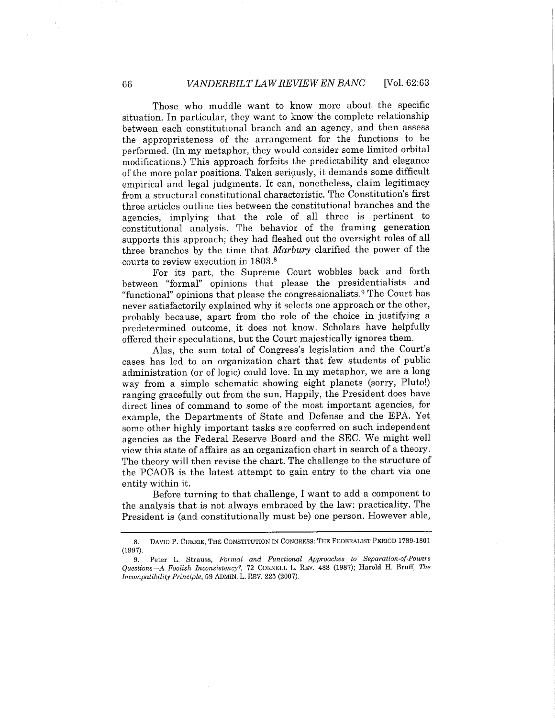Those who muddle want to know more about the specific situation. In particular, they want to know the complete relationship between each constitutional branch and an agency, and then assess the appropriateness of the arrangement for the functions to be performed. (In my metaphor, they would consider some limited orbital modifications.) This approach forfeits the predictability and elegance of the more polar positions. Taken seriously, it demands some difficult empirical and legal judgments. It can, nonetheless, claim legitimacy from a structural constitutional characteristic. The Constitution's first three articles outline ties between the constitutional branches and the agencies, implying that the role of all three is pertinent to constitutional analysis. The behavior of the framing generation supports this approach; they had fleshed out the oversight roles of all three branches by the time that Marbury clarified the power of the courts to review execution in 1803.8

For its part, the Supreme Court wobbles back and forth between "formal" opinions that please the presidentialists and "functional" opinions that please the congressionalists.9 The Court has never satisfactorily explained why it selects one approach or the other, probably because, apart from the role of the choice in justifying a predetermined outcome, it does not know. Scholars have helpfully offered their speculations, but the Court majestically ignores them.

Alas, the sum total of Congress's legislation and the Court's cases has led to an organization chart that few students of public administration (or of logic) could love. In my metaphor, we are a long way from a simple schematic showing eight planets (sorry, Pluto!) ranging gracefully out from the sun. Happily, the President does have direct lines of command to some of the most important agencies, for example, the Departments of State and Defense and the EPA. Yet some other highly important tasks are conferred on such independent agencies as the Federal Reserve Board and the SEC. We might well view this state of affairs as an organization chart in search of a theory. The theory will then revise the chart. The challenge to the structure of the PCAOB is the latest attempt to gain entry to the chart via one entity within it.

Before turning to that challenge, I want to add a component to the analysis that is not always embraced by the law: practicality. The President is (and constitutionally must be) one person. However able,

<sup>8.</sup> DAVID P. CURRIE, THE CONSTITUTION IN CONGRESS: THE FEDERALIST PERIOD 1789-1801 (1997).

<sup>9.</sup> Peter L. Strauss, Formal and Functional Approaches to Separation-of-Powers Questions-A Foolish Inconsistency?, 72 CORNELL L. REV. 488 (1987); Harold H. Bruff, The Incompatibility Principle, 59 ADMIN. L. REV. 225 (2007).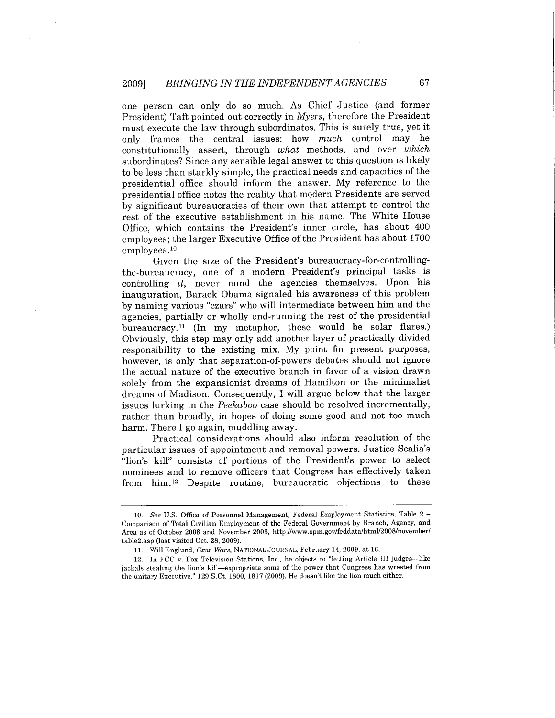one person can only do so much. As Chief Justice (and former President) Taft pointed out correctly in Myers, therefore the President must execute the law through subordinates. This is surely true, yet it only frames the central issues: how much control may he constitutionally assert, through what methods, and over which subordinates? Since any sensible legal answer to this question is likely to be less than starkly simple, the practical needs and capacities of the presidential office should inform the answer. My reference to the presidential office notes the reality that modern Presidents are served by significant bureaucracies of their own that attempt to control the rest of the executive establishment in his name. The White House Office, which contains the President's inner circle, has about 400 employees; the larger Executive Office of the President has about 1700 employees.Io

Given the size of the President's bureaucracy-for-controllingthe-bureaucracy, one of a modern President's principal tasks is controlling it, never mind the agencies themselves. Upon his inauguration, Barack Obama signaled his awareness of this problem by naming various "czars" who wil intermediate between him and the agencies, partially or wholly end-running the rest of the presidential bureaucracy.ii (In my metaphor, these would be solar flares.) Obviously, this step may only add another layer of practically divided responsibility to the existing mix. My point for present purposes, however, is only that separation-of-powers debates should not ignore the actual nature of the executive branch in favor of a vision drawn solely from the expansionist dreams of Hamilton or the minimalist dreams of Madison. Consequently, I will argue below that the larger issues lurking in the Peekaboo case should be resolved incrementally, rather than broadly, in hopes of doing some good and not too much harm. There I go again, muddling away.

Practical considerations should also inform resolution of the particular issues of appointment and removal powers. Justice Scalia's "lion's kil" consists of portions of the President's power to select nominees and to remove officers that Congress has effectively taken from him.I2 Despite routine, bureaucratic objections to these

<sup>10.</sup> See U.S. Office of Personnel Management, Federal Employment Statistics, Table 2 - Comparison of Total Civilian Employment of the Federal Government by Branch, Agency, and Area as of October 2008 and November 2008, http://www.opm.gov/feddata/html/2008/november/ table2.asp (last visited Oct. 28, 2009).

<sup>11.</sup> Wil Englund, Czar Wars, NATIONAL JOURNAL, February 14, 2009, at 16.

<sup>12.</sup> In FCC v. Fox Television Stations, Inc., he objects to "letting Article III judges-like jackals stealing the lion's kil-expropriate some of the power that Congress has wrested from the unitary Executive." 129 S.Ct. 1800, 1817 (2009). He doesn't like the lion much either.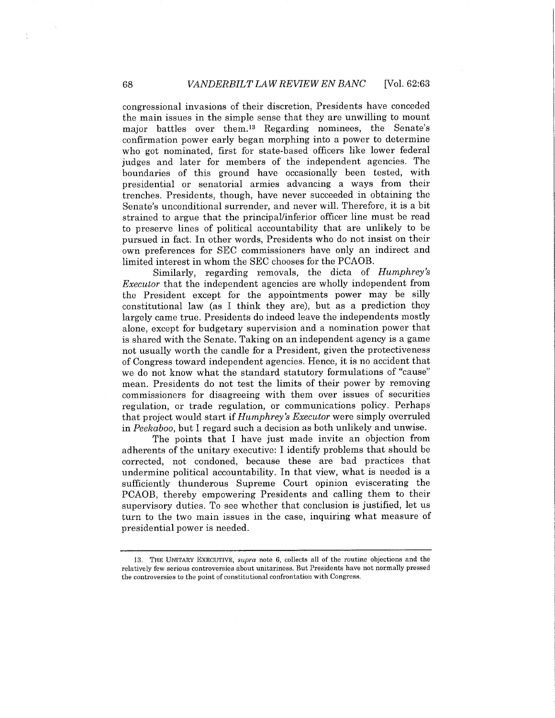congressional invasions of their discretion, Presidents have conceded the main issues in the simple sense that they are unwiling to mount major battles over them.Is Regarding nominees, the Senate's confirmation power early began morphing into a power to determine who got nominated, first for state-based officers like lower federal judges and later for members of the independent agencies. The boundaries of this ground have occasionally been tested, with presidential or senatorial armies advancing a ways from their trenches. Presidents, though, have never succeeded in obtaining the Senate's unconditional surrender, and never wil. Therefore, it is a bit strained to argue that the principal/inferior officer line must be read to preserve lines of political accountability that are unlikely to be pursued in fact. In other words, Presidents who do not insist on their own preferences for SEC commissioners have only an indirect and limited interest in whom the SEC chooses for the PCAOB.

Similarly, regarding removals, the dicta of Humphrey's Executor that the independent agencies are wholly independent from the President except for the appointments power may be sily constitutional law (as I think they are), but as a prediction they largely came true. Presidents do indeed leave the independents mostly alone, except for budgetary supervision and a nomination power that is shared with the Senate. Taking on an independent agency is a game not usually worth the candle for a President, given the protectiveness of Congress toward independent agencies. Hence, it is no accident that we do not know what the standard statutory formulations of "cause" mean. Presidents do not test the limits of their power by removing commissioners for disagreeing with them over issues of securities regulation, or trade regulation, or communications policy. Perhaps that project would start if *Humphrey's Executor* were simply overruled in Peekaboo, but I regard such a decision as both unlikely and unwise.

The points that I have just made invite an objection from adherents of the unitary executive: I identify problems that should be corrected, not condoned, because these are bad practices that undermine political accountability. In that view, what is needed is a sufficiently thunderous Supreme Court opinion eviscerating the PCAOB, thereby empowering Presidents and calling them to their supervisory duties. To see whether that conclusion is justified, let us turn to the two main issues in the case, inquiring what measure of presidential power is needed.

<sup>13.</sup> THE UNITARY EXECUTIVE, supra note 6, collects all of the routine objections and the relatively few serious controversies about unitariness. But Presidents have not normally pressed the controversies to the point of constitutional confrontation with Congress.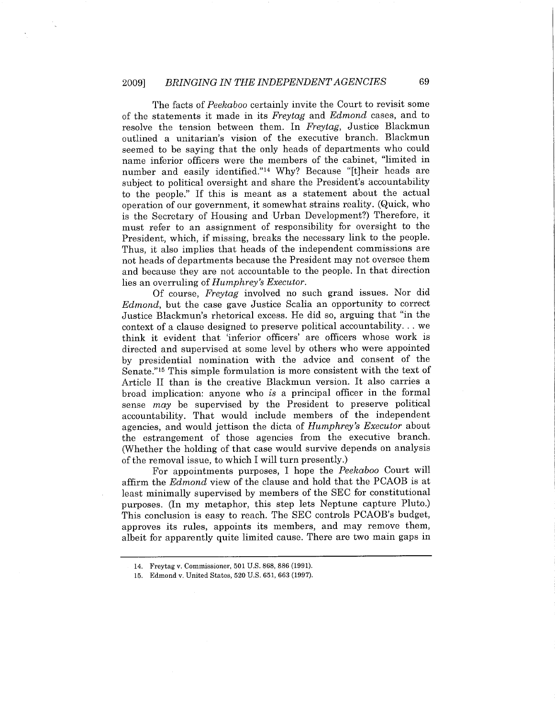The facts of Peekaboo certainly invite the Court to revisit some of the statements it made in its Freytag and Edmond cases, and to resolve the tension between them. In Freytag, Justice Blackmun outlined a unitarian's vision of the executive branch. Blackmun seemed to be saying that the only heads of departments who could name inferior officers were the members of the cabinet, "limited in number and easily identified."<sup>14</sup> Why? Because "[t]heir heads are subject to political oversight and share the President's accountability to the people." If this is meant as a statement about the actual operation of our government, it somewhat strains reality. (Quick, who is the Secretary of Housing and Urban Development?) Therefore, it must refer to an assignment of responsibility for oversight to the President, which, if missing, breaks the necessary link to the people. Thus, it also implies that heads of the independent commissions are not heads of departments because the President may not oversee them and because they are not accountable to the people. In that direction lies an overruling of Humphrey's Executor.

Of course, Freytag involved no such grand issues. Nor did Edmond, but the case gave Justice Scalia an opportunity to correct Justice Blackmun's rhetorical excess. He did so, arguing that "in the context of a clause designed to preserve political accountability. . . we think it evident that 'inferior officers' are officers whose work is directed and supervised at some level by others who were appointed by presidential nomination with the advice and consent of the Senate."15 This simple formulation is more consistent with the text of Article II than is the creative Blackmun version. It also carries a broad implication: anyone who is a principal officer in the formal sense may be supervised by the President to preserve political accountability. That would include members of the independent agencies, and would jettison the dicta of Humphrey's Executor about the estrangement of those agencies from the executive branch. (Whether the holding of that case would survive depends on analysis of the removal issue, to which I will turn presently.)

For appointments purposes, I hope the Peekaboo Court wil affirm the *Edmond* view of the clause and hold that the PCAOB is at least minimally supervised by members of the SEC for constitutional purposes. (In my metaphor, this step lets Neptune capture Pluto.) This conclusion is easy to reach. The SEC controls PCAOB's budget, approves its rules, appoints its members, and may remove them, albeit for apparently quite limited cause. There are two main gaps in

<sup>14.</sup> Freytag v. Commissioner, 501 U.S. 868, 886 (1991).

<sup>15.</sup> Edmond v. United States, 520 U.S. 651, 663 (1997).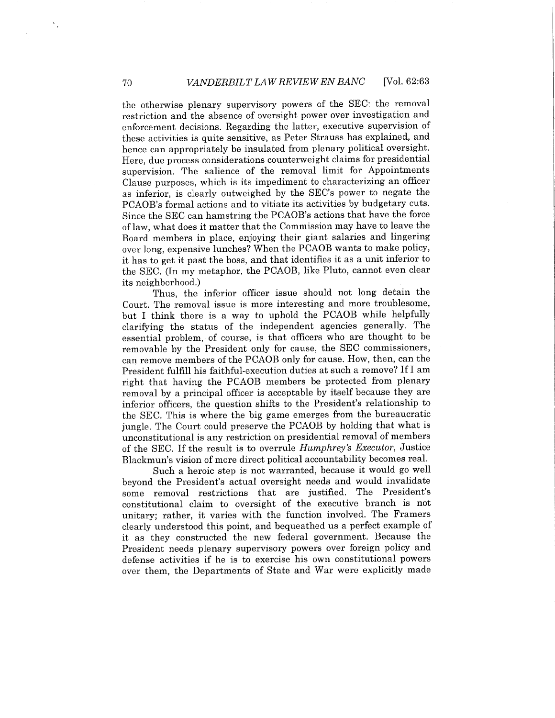the otherwise plenary supervisory powers of the SEC: the removal restriction and the absence of oversight power over investigation and enforcement decisions. Regarding the latter, executive supervision of these activities is quite sensitive, as Peter Strauss has explained, and hence can appropriately be insulated from plenary political oversight. Here, due process considerations counterweight claims for presidential supervision. The salience of the removal limit for Appointments Clause purposes, which is its impediment to characterizing an officer as inferior, is clearly outweighed by the SEC's power to negate the PCAOB's formal actions and to vitiate its activities by budgetary cuts. Since the SEC can hamstring the PCAOB's actions that have the force oflaw, what does it matter that the Commission may have to leave the Board members in place, enjoying their giant salaries and lingering over long, expensive lunches? When the PCAOB wants to make policy, it has to get it past the boss, and that identifies it as a unit inferior to the SEC. (In my metaphor, the PCAOB, like Pluto, cannot even clear its neighborhood.)

Thus, the inferior officer issue should not long detain the Court. The removal issue is more interesting and more troublesome, but I think there is a way to uphold the PCAOB while helpfully clarifying the status of the independent agencies generally. The essential problem, of course, is that officers who are thought to be removable by the President only for cause, the SEC commissioners, can remove members of the PCAOB only for cause. How, then, can the President fulfil his faithful-execution duties at such a remove? If I am right that having the PCAOB members be protected from plenary removal by a principal officer is acceptable by itself because they are inferior officers, the question shifts to the President's relationship to the SEC. This is where the big game emerges from the bureaucratic jungle. The Court could preserve the PCAOB by holding that what is unconstitutional is any restriction on presidential removal of members of the SEC. If the result is to overrule Humphrey's Executor, Justice Blackmun's vision of more direct political accountability becomes reaL.

Such a heroic step is not warranted, because it would go well beyond the President's actual oversight needs and would invalidate some removal restrictions that are justified. The President's constitutional claim to oversight of the executive branch is not unitary; rather, it varies with the function involved. The Framers clearly understood this point, and bequeathed us a perfect example of it as they constructed the new federal government. Because the President needs plenary supervisory powers over foreign policy and defense activities if he is to exercise his own constitutional powers over them, the Departments of State and War were explicitly made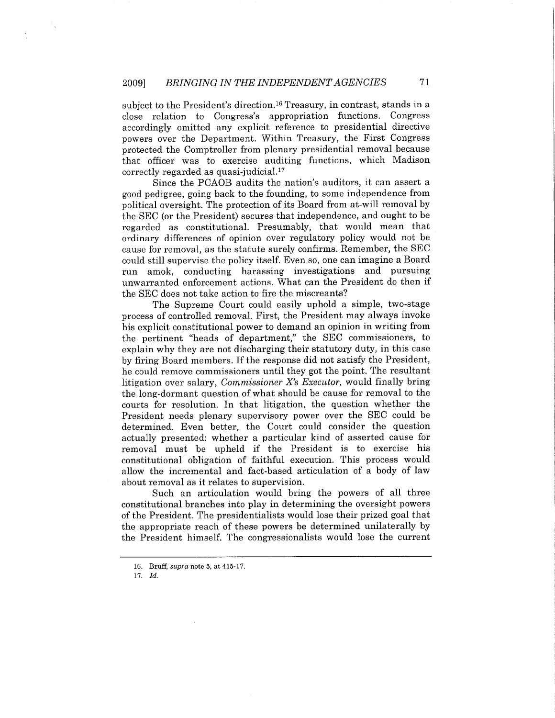subject to the President's direction.<sup>16</sup> Treasury, in contrast, stands in a close relation to Congress's appropriation functions. Congress accordingly omitted any explicit reference to presidential directive powers over the Department. Within Treasury, the First Congress protected the Comptroller from plenary presidential removal because that officer was to exercise auditing functions, which Madison  $correctly$  regarded as quasi-judicial.<sup>17</sup>

Since the PCAOB audits the nation's auditors, it can assert a good pedigree, going back to the founding, to some independence from political oversight. The protection of its Board from at-will removal by the SEC (or the President) secures that independence, and ought to be regarded as constitutionaL. Presumably, that would mean that ordinary differences of opinion over regulatory policy would not be cause for removal, as the statute surely confirms. Remember, the SEC could still supervise the policy itself. Even so, one can imagine a Board run amok, conducting harassing investigations and pursuing unwarranted enforcement actions. What can the President do then if the SEC does not take action to fire the miscreants?

The Supreme Court could easily uphold a simple, two-stage process of controlled removaL. First, the President may always invoke his explicit constitutional power to demand an opinion in writing from the pertinent "heads of department," the SEC commissioners, to explain why they are not discharging their statutory duty, in this case by firing Board members. If the response did not satisfy the President, he could remove commissioners until they got the point. The resultant litigation over salary, Commissioner X's Executor, would finally bring the long-dormant question of what should be cause for removal to the courts for resolution. In that litigation, the question whether the President needs plenary supervisory power over the SEC could be determined. Even better, the Court could consider the question actually presented: whether a particular kind of asserted cause for removal must be upheld if the President is to exercise his constitutional obligation of faithful execution. This process would allow the incremental and fact-based articulation of a body of law about removal as it relates to supervision.

Such an articulation would bring the powers of all three constitutional branches into play in determining the oversight powers of the President. The presidentialists would lose their prized goal that the appropriate reach of these powers be determined unilaterally by the President himself. The congressionalists would lose the current

<sup>16.</sup> Bruff, supra note 5, at 415-17.

<sup>17.</sup> Id.